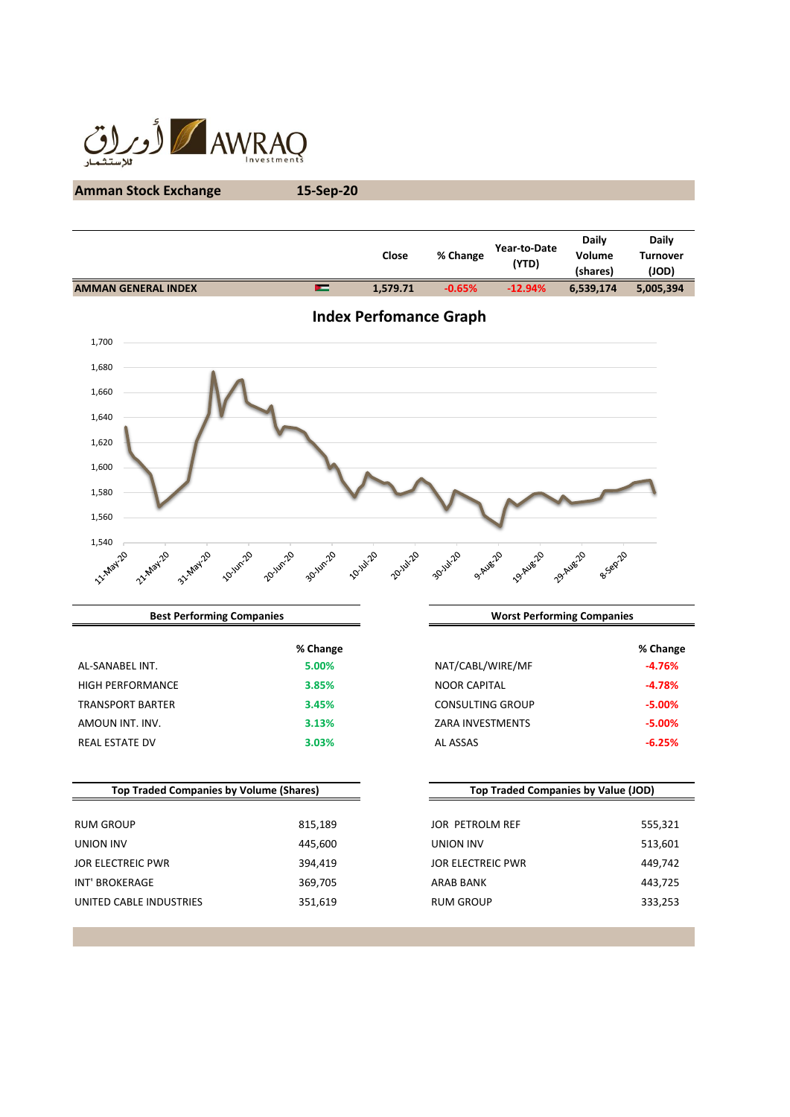

# **Amman Stock Exchange 15-Sep-20**

|          |          | (YTD)     | (shares)  | <b>Turnover</b><br>(JOD)    |
|----------|----------|-----------|-----------|-----------------------------|
| 1.579.71 | $-0.65%$ | $-12.94%$ | 6,539,174 | 5,005,394                   |
|          |          |           |           | % Change<br>Volume<br>Close |



| <b>Best Performing Companies</b> |          |                         | <b>Worst Performing Companies</b> |  |
|----------------------------------|----------|-------------------------|-----------------------------------|--|
|                                  | % Change |                         | $%$ Chang                         |  |
| AL-SANABEL INT.                  | 5.00%    | NAT/CABL/WIRE/MF        | $-4.76%$                          |  |
| <b>HIGH PERFORMANCE</b>          | 3.85%    | <b>NOOR CAPITAL</b>     | $-4.78%$                          |  |
| <b>TRANSPORT BARTER</b>          | 3.45%    | <b>CONSULTING GROUP</b> | $-5.00%$                          |  |
| AMOUN INT. INV.                  | 3.13%    | ZARA INVESTMENTS        | $-5.00%$                          |  |
| <b>REAL ESTATE DV</b>            | 3.03%    | AL ASSAS                | $-6.25%$                          |  |
|                                  |          |                         |                                   |  |

| <b>Top Traded Companies by Volume (Shares)</b> |         | Top Traded Companies by Value (JOD) |         |
|------------------------------------------------|---------|-------------------------------------|---------|
| <b>RUM GROUP</b>                               | 815,189 | JOR PETROLM REF                     | 555,321 |
| UNION INV                                      | 445,600 | UNION INV                           | 513,601 |
| JOR ELECTREIC PWR                              | 394,419 | <b>JOR ELECTREIC PWR</b>            | 449,742 |
| INT' BROKERAGE                                 | 369,705 | ARAB BANK                           | 443,725 |
| UNITED CABLE INDUSTRIES                        | 351,619 | <b>RUM GROUP</b>                    | 333,253 |
|                                                |         |                                     |         |

| % Change |                         | % Change  |
|----------|-------------------------|-----------|
| 5.00%    | NAT/CABL/WIRE/MF        | $-4.76%$  |
| 3.85%    | <b>NOOR CAPITAL</b>     | $-4.78%$  |
| 3.45%    | CONSULTING GROUP        | $-5.00%$  |
| 3.13%    | <b>ZARA INVESTMENTS</b> | $-5.00\%$ |
| 3.03%    | AL ASSAS                | $-6.25%$  |
|          |                         |           |

| <b>Top Traded Companies by Value (JOD)</b> |         |  |  |
|--------------------------------------------|---------|--|--|
|                                            |         |  |  |
| JOR PETROLM REF                            | 555,321 |  |  |
| UNION INV                                  | 513,601 |  |  |
| JOR ELECTREIC PWR                          | 449.742 |  |  |
| <b>ARAR BANK</b>                           | 443,725 |  |  |
| <b>RUM GROUP</b>                           | 333,253 |  |  |
|                                            |         |  |  |